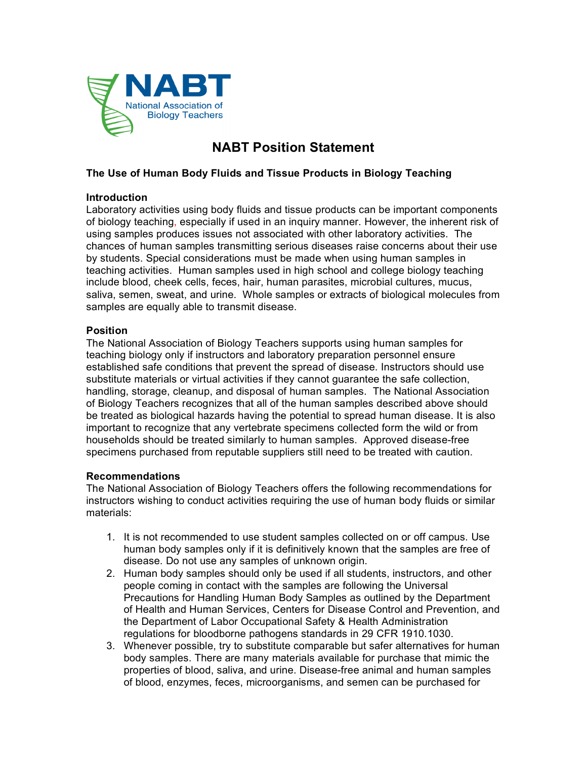

# **NABT Position Statement**

## **The Use of Human Body Fluids and Tissue Products in Biology Teaching**

### **Introduction**

Laboratory activities using body fluids and tissue products can be important components of biology teaching, especially if used in an inquiry manner. However, the inherent risk of using samples produces issues not associated with other laboratory activities. The chances of human samples transmitting serious diseases raise concerns about their use by students. Special considerations must be made when using human samples in teaching activities. Human samples used in high school and college biology teaching include blood, cheek cells, feces, hair, human parasites, microbial cultures, mucus, saliva, semen, sweat, and urine. Whole samples or extracts of biological molecules from samples are equally able to transmit disease.

### **Position**

The National Association of Biology Teachers supports using human samples for teaching biology only if instructors and laboratory preparation personnel ensure established safe conditions that prevent the spread of disease. Instructors should use substitute materials or virtual activities if they cannot guarantee the safe collection, handling, storage, cleanup, and disposal of human samples. The National Association of Biology Teachers recognizes that all of the human samples described above should be treated as biological hazards having the potential to spread human disease. It is also important to recognize that any vertebrate specimens collected form the wild or from households should be treated similarly to human samples. Approved disease-free specimens purchased from reputable suppliers still need to be treated with caution.

#### **Recommendations**

The National Association of Biology Teachers offers the following recommendations for instructors wishing to conduct activities requiring the use of human body fluids or similar materials:

- 1. It is not recommended to use student samples collected on or off campus. Use human body samples only if it is definitively known that the samples are free of disease. Do not use any samples of unknown origin.
- 2. Human body samples should only be used if all students, instructors, and other people coming in contact with the samples are following the Universal Precautions for Handling Human Body Samples as outlined by the Department of Health and Human Services, Centers for Disease Control and Prevention, and the Department of Labor Occupational Safety & Health Administration regulations for bloodborne pathogens standards in 29 CFR 1910.1030.
- 3. Whenever possible, try to substitute comparable but safer alternatives for human body samples. There are many materials available for purchase that mimic the properties of blood, saliva, and urine. Disease-free animal and human samples of blood, enzymes, feces, microorganisms, and semen can be purchased for